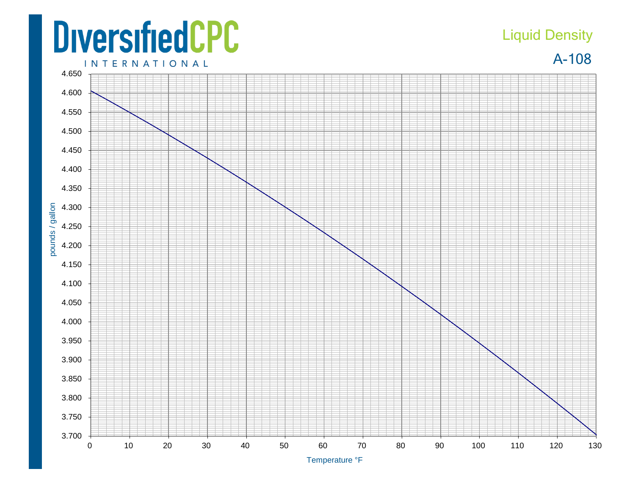## **DiversifiedCPC INTERNATIONAL**

## Liquid Density

A-108